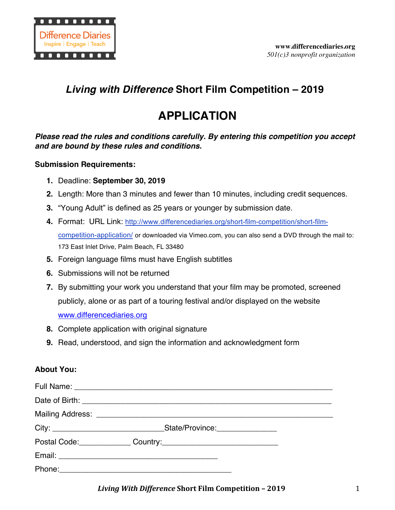

# *Living with Difference* **Short Film Competition – 2019**

# **APPLICATION**

*Please read the rules and conditions carefully. By entering this competition you accept and are bound by these rules and conditions.* 

#### **Submission Requirements:**

- **1.** Deadline: **September 30, 2019**
- **2.** Length: More than 3 minutes and fewer than 10 minutes, including credit sequences.
- **3.** "Young Adult" is defined as 25 years or younger by submission date.
- **4.** Format: URL Link: http://www.differencediaries.org/short-film-competition/short-filmcompetition-application/ or downloaded via Vimeo.com, you can also send a DVD through the mail to: 173 East Inlet Drive, Palm Beach, FL 33480
- **5.** Foreign language films must have English subtitles
- **6.** Submissions will not be returned
- **7.** By submitting your work you understand that your film may be promoted, screened publicly, alone or as part of a touring festival and/or displayed on the website www.differencediaries.org
- **8.** Complete application with original signature
- **9.** Read, understood, and sign the information and acknowledgment form

## **About You:**

| Postal Code: Communication Country: |  |
|-------------------------------------|--|
|                                     |  |
|                                     |  |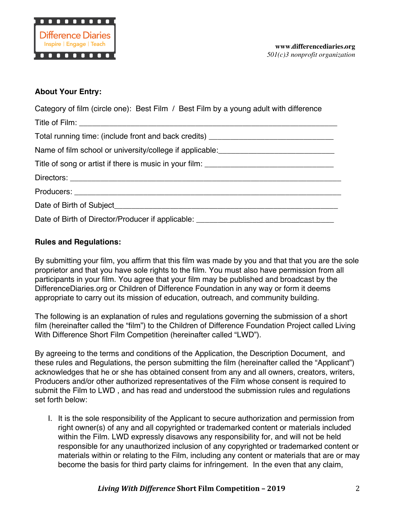

#### **About Your Entry:**

| Category of film (circle one): Best Film / Best Film by a young adult with difference |
|---------------------------------------------------------------------------------------|
|                                                                                       |
| Total running time: (include front and back credits) ___________________________      |
| Name of film school or university/college if applicable:________________________      |
|                                                                                       |
|                                                                                       |
|                                                                                       |
|                                                                                       |
| Date of Birth of Director/Producer if applicable: ______________________________      |

#### **Rules and Regulations:**

By submitting your film, you affirm that this film was made by you and that that you are the sole proprietor and that you have sole rights to the film. You must also have permission from all participants in your film. You agree that your film may be published and broadcast by the DifferenceDiaries.org or Children of Difference Foundation in any way or form it deems appropriate to carry out its mission of education, outreach, and community building.

The following is an explanation of rules and regulations governing the submission of a short film (hereinafter called the "film") to the Children of Difference Foundation Project called Living With Difference Short Film Competition (hereinafter called "LWD").

By agreeing to the terms and conditions of the Application, the Description Document, and these rules and Regulations, the person submitting the film (hereinafter called the "Applicant") acknowledges that he or she has obtained consent from any and all owners, creators, writers, Producers and/or other authorized representatives of the Film whose consent is required to submit the Film to LWD , and has read and understood the submission rules and regulations set forth below:

I. It is the sole responsibility of the Applicant to secure authorization and permission from right owner(s) of any and all copyrighted or trademarked content or materials included within the Film. LWD expressly disavows any responsibility for, and will not be held responsible for any unauthorized inclusion of any copyrighted or trademarked content or materials within or relating to the Film, including any content or materials that are or may become the basis for third party claims for infringement. In the even that any claim,